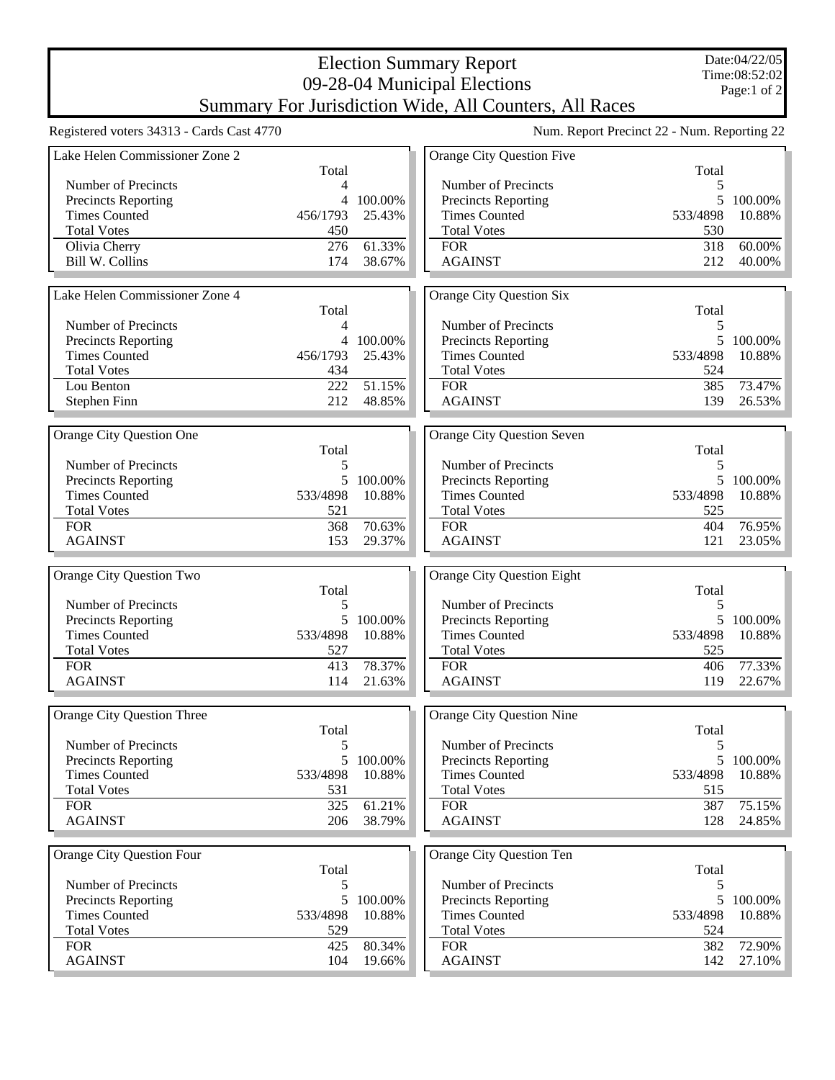## Election Summary Report 09-28-04 Municipal Elections

Summary For Jurisdiction Wide, All Counters, All Races

|                                           |                |         | Sultiliaty For Juristiction Witte, All Counters, All Naces |                                             |           |
|-------------------------------------------|----------------|---------|------------------------------------------------------------|---------------------------------------------|-----------|
| Registered voters 34313 - Cards Cast 4770 |                |         |                                                            | Num. Report Precinct 22 - Num. Reporting 22 |           |
| Lake Helen Commissioner Zone 2            |                |         | Orange City Question Five                                  |                                             |           |
|                                           | Total          |         |                                                            | Total                                       |           |
| Number of Precincts                       | $\overline{4}$ |         | Number of Precincts                                        | 5                                           |           |
| <b>Precincts Reporting</b>                | 4              | 100.00% | <b>Precincts Reporting</b>                                 |                                             | 5 100.00% |
| <b>Times Counted</b>                      | 456/1793       | 25.43%  | <b>Times Counted</b>                                       | 533/4898                                    | 10.88%    |
| <b>Total Votes</b>                        | 450            |         | <b>Total Votes</b>                                         | 530                                         |           |
| Olivia Cherry                             | 276            | 61.33%  | <b>FOR</b>                                                 | 318                                         | 60.00%    |
| <b>Bill W. Collins</b>                    | 174            | 38.67%  | <b>AGAINST</b>                                             | 212                                         | 40.00%    |
|                                           |                |         |                                                            |                                             |           |
| Lake Helen Commissioner Zone 4            |                |         | Orange City Question Six                                   |                                             |           |
|                                           | Total          |         |                                                            | Total                                       |           |
| Number of Precincts                       | 4              |         | Number of Precincts                                        | 5                                           |           |
| Precincts Reporting                       | 4              | 100.00% | Precincts Reporting                                        | 5 <sup>5</sup>                              | 100.00%   |
| <b>Times Counted</b>                      | 456/1793       | 25.43%  | <b>Times Counted</b>                                       | 533/4898                                    | 10.88%    |
| <b>Total Votes</b>                        | 434            |         | <b>Total Votes</b>                                         | 524                                         |           |
| Lou Benton                                | 222            | 51.15%  | <b>FOR</b>                                                 | 385                                         | 73.47%    |
| Stephen Finn                              | 212            | 48.85%  | <b>AGAINST</b>                                             | 139                                         | 26.53%    |
|                                           |                |         |                                                            |                                             |           |
| Orange City Question One                  |                |         | Orange City Question Seven                                 |                                             |           |
|                                           | Total          |         |                                                            | Total                                       |           |
| Number of Precincts                       | 5              |         | Number of Precincts                                        | 5                                           |           |
| Precincts Reporting                       | 5              | 100.00% | <b>Precincts Reporting</b>                                 |                                             | 5 100.00% |
| <b>Times Counted</b>                      | 533/4898       | 10.88%  | <b>Times Counted</b>                                       | 533/4898                                    | 10.88%    |
| <b>Total Votes</b>                        | 521            |         | <b>Total Votes</b>                                         | 525                                         |           |
| <b>FOR</b>                                | 368            | 70.63%  | <b>FOR</b>                                                 | 404                                         | 76.95%    |
| <b>AGAINST</b>                            | 153            | 29.37%  | <b>AGAINST</b>                                             | 121                                         | 23.05%    |
|                                           |                |         |                                                            |                                             |           |
| Orange City Question Two                  |                |         | <b>Orange City Question Eight</b>                          |                                             |           |
|                                           | Total          |         |                                                            | Total                                       |           |
| Number of Precincts                       | 5              |         | Number of Precincts                                        | 5                                           |           |
| Precincts Reporting                       | 5              | 100.00% | Precincts Reporting                                        | 5 <sup>5</sup>                              | 100.00%   |
| <b>Times Counted</b>                      | 533/4898       | 10.88%  | <b>Times Counted</b>                                       | 533/4898                                    | 10.88%    |
| <b>Total Votes</b>                        | 527            |         | <b>Total Votes</b>                                         | 525                                         |           |
| <b>FOR</b>                                | 413            | 78.37%  | <b>FOR</b>                                                 | 406                                         | 77.33%    |
| <b>AGAINST</b>                            | 114            | 21.63%  | <b>AGAINST</b>                                             | 119                                         | 22.67%    |
|                                           |                |         |                                                            |                                             |           |
| Orange City Question Three                |                |         | Orange City Question Nine                                  |                                             |           |
|                                           | Total          |         |                                                            | Total                                       |           |
| Number of Precincts                       | 5              |         | Number of Precincts                                        | 5                                           |           |
| Precincts Reporting                       | 5              | 100.00% | Precincts Reporting                                        | 5 <sup>1</sup>                              | 100.00%   |
| <b>Times Counted</b>                      | 533/4898       | 10.88%  | <b>Times Counted</b>                                       | 533/4898                                    | 10.88%    |
| <b>Total Votes</b>                        | 531            |         | <b>Total Votes</b>                                         | 515                                         |           |
| <b>FOR</b>                                | 325            | 61.21%  | <b>FOR</b>                                                 | 387                                         | 75.15%    |
| <b>AGAINST</b>                            | 206            | 38.79%  | <b>AGAINST</b>                                             | 128                                         | 24.85%    |
|                                           |                |         |                                                            |                                             |           |
| Orange City Question Four                 |                |         | Orange City Question Ten                                   |                                             |           |
|                                           | Total          |         |                                                            | Total                                       |           |
| Number of Precincts                       | 5              |         | Number of Precincts                                        | 5                                           |           |
| Precincts Reporting                       | 5              | 100.00% | Precincts Reporting                                        |                                             | 5 100.00% |
| <b>Times Counted</b>                      | 533/4898       | 10.88%  | <b>Times Counted</b>                                       | 533/4898                                    | 10.88%    |
| <b>Total Votes</b>                        | 529            |         | <b>Total Votes</b>                                         | 524                                         |           |
| <b>FOR</b>                                | 425            | 80.34%  | <b>FOR</b>                                                 | 382                                         | 72.90%    |
| <b>AGAINST</b>                            | 104            | 19.66%  | <b>AGAINST</b>                                             | 142                                         | 27.10%    |
|                                           |                |         |                                                            |                                             |           |